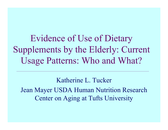Evidence of Use of Dietary Supplements by the Elderly: Current Usage Patterns: Who and What?

Katherine L. Tucker Jean Mayer USDA Human Nutrition Research Center on Aging at Tufts University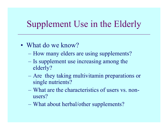## Supplement Use in the Elderly

- What do we know?
	- How many elders are using supplements?
	- Is supplement use increasing among the elderly?
	- Are they taking multivitamin preparations or single nutrients?
	- –What are the characteristics of users vs. nonusers?
	- What about herbal/other supplements?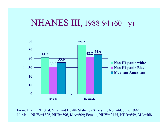#### NHANES III, 1988-94 (60+ y)



From: Ervin, RB et al. Vital and Health Statistics Series 11, No. 244, June 1999. N: Male, NHW=1826, NHB=596, MA=609; Female, NHW=2135, NHB=659, MA=568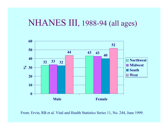#### NHANES III, 1988-94 (all ages)



From: Ervin, RB et al. Vital and Health Statistics Series 11, No. 244, June 1999.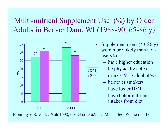Multi-nutrient Supplement Use (%) by Older Adults in Beaver Dam, WI (1988-90, 65-86 y)



- •Supplement users (43-86 y) were more likely than nonusers to:
	- have higher education
	- be physically active
	- drink < 91 g alcohol/wk
		- be never smokers
		- have l ower BMI
		- –have better nutrient intakes from diet

From: Lyle BJ et al. J Nutr 1998;128:2355-2362. N: Men = 366, Women = 513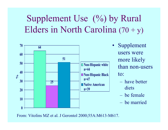# Supplement Use (%) by Rural Elders in North Carolina  $(70 + y)$



- $\bullet$ Supplement users were more likely than non-users to:
	- –have better diets
	- be female
	- –be married

From: Vitolins MZ et al. J Gerontol 2000;55A:M613-M617.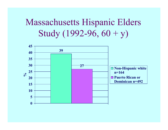## Massachusetts Hispanic Elders Study  $(1992-96, 60 + y)$

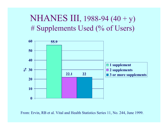### NHANES III, 1988-94 (40 + y) # Supplements Used (% of Users)



From: Ervin, RB et al. Vital and Health Statistics Series 11, No. 244, June 1999.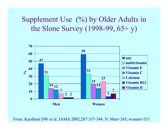#### Supplement Use (%) by Older Adults in the Slone Survey (1998-99, 65+ y)



From: Kaufman DW et al. JAMA 2002;287:337-344. N: Men=243; women=351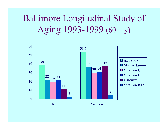# Baltimore Longitudinal Study of Aging  $1993-1999(60 + y)$

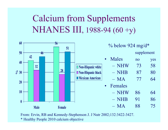# Calcium from Supplements NHANES III, 1988-94 (60 +y)



From: Ervin, RB and Kennedy-Stephenson J. J Nutr 2002;132:3422-3427.

\* Healthy People 2010 calcium objective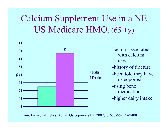# Calcium Supplement Use in a NE US Medicare HMO, (65 +y)



From: Dawson-Hughes B et al. Osteoporosis Int 2002;13:657-662. N=2408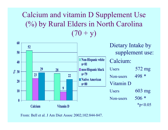#### Calcium and vitamin D Supplement Use (%) by Rural Elders in North Carolina  $(70 + y)$



From: Bell et al. J Am Diet Assoc 2002;102:844-847.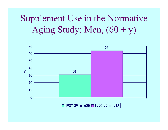# Supplement Use in the Normative Aging Study: Men,  $(60 + y)$



**1987-89 n =630 1990-99 n =913**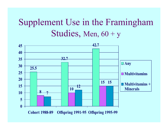## Supplement Use in the Framingham Studies, Men, 60 + y



**C o h o r t 1988-89 O ffs p ring 1991-95 O ffs p ring 1995-99**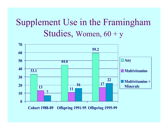## Supplement Use in the Framingham Studies, Women, 60 + y



**C o h o r t 1988-89 O ffs p ring 1991-95 O ffs p ring 1995-99**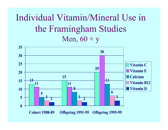### Individual Vitamin/Mineral Use in the Framingham Studies Men,  $60 + y$

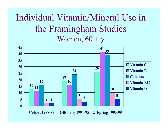### Individual Vitamin/Mineral Use in the Framingham Studies Women,  $60 + y$

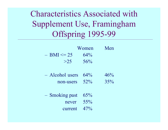Characteristics Associated with Supplement Use, Framingham Offspring 1995-99

|                   | Women  | Men |
|-------------------|--------|-----|
| $-$ BMI $\leq$ 25 | $64\%$ |     |
| >25               | 56%    |     |

| $-$ Alcohol users 64% |        | 46%    |
|-----------------------|--------|--------|
| non-users             | $52\%$ | $35\%$ |

| $-$ Smoking past 65% |        |
|----------------------|--------|
| never                | $55\%$ |
| current $47%$        |        |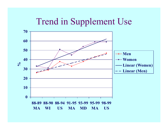### Trend in Supplement Use

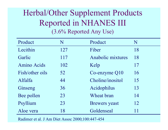#### Herbal/Other Supplement Products Reported in NHANES III (3.6% Reported Any Use)

| Product            | N   | Product                  | N  |
|--------------------|-----|--------------------------|----|
| Lecithin           | 127 | Fiber                    | 18 |
| Garlic             | 117 | <b>Anabolic mixtures</b> | 18 |
| <b>Amino Acids</b> | 102 | Kelp                     | 17 |
| Fish/other oils    | 52  | Co-enzyme Q10            | 16 |
| Alfalfa            | 44  | Choline/inositol         | 15 |
| Ginseng            | 36  | Acidophilus              | 13 |
| Bee pollen         | 23  | Wheat bran               | 14 |
| Psyllium           | 23  | <b>Brewers</b> yeast     | 12 |
| Aloe vera          | 18  | Goldenseal               | 11 |

Radimer et al. J Am Diet Assoc 2000;100:447-45 4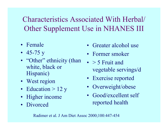Characteristics Associated With Herbal/ Other Supplement Use in NHANES III

- •Female
- 45-75 y
- "Other" ethnicity (than white, black or Hispanic)
- West region
- Education > 12 y
- Higher income
- Divorced
- •Greater alcohol use
- Former smoker
- $\bullet$  > 5 Fruit and vegetable servings/d
- Exercise reported
- Overweight/obese
- Good/excellent self reported health

Radimer et al. J Am Diet Assoc 2000;100:447-45 4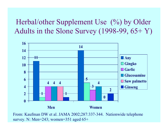#### Herbal/other Supplement Use (%) by Older Adults in the Slone Survey (1998-99, 65+ Y)



From: Kaufman DW et al. JAMA 2002;287:337-344. Nationwide telephone survey. N: Men=243; women=351 aged 65+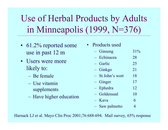Use of Herbal Products by Adults in Minneapolis (1999, N=376)

- 61.2% reported some use in past 12 m
- Users were more likely to:
	- Be female
	- –Use vitamin supplements
	- Have higher education
- Products used – Ginseng 31% –Echinacea 28–Garlic 25– Ginkgo 21 –St John's wort 18– Ginger 17– Ephedra 12– Goldenseal 10– Kava6– S a w palmetto 4

Harnack LJ et al. Mayo Clin Proc 2001;76:688-694. Mail survey, 65% response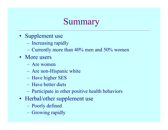### Summary

- Supplement use
	- Increasing rapidly
	- $\mathcal{L}_{\mathcal{A}}$  $-$  Currently more than 40% men and 50% women
- More users
	- Are women
	- Are non-Hispanic white
	- $\mathcal{L}_{\mathcal{A}}$ – Have higher SES
	- Have better diets
	- $\mathcal{L}_{\mathcal{A}}$  , and the set of  $\mathcal{L}_{\mathcal{A}}$ Participate in other positive health behaviors
- Herbal/other supplement use
	- $\mathcal{L}_{\mathcal{A}}$  , and the set of  $\mathcal{L}_{\mathcal{A}}$ Poorly defined
	- $\mathcal{L}_{\mathcal{A}}$ Growing rapidly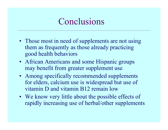### Conclusions

- Those most in need of supplements are not using them as frequently as those already practicing good health behaviors
- African Americans and some Hispanic groups may benefit from greater supplement use
- Among specifically recommended supplements for elders, calcium use is widespread but use of vitamin D and vitamin B12 remain low
- We know very little about the possible effects of rapidly increasing use of herbal/other supplements